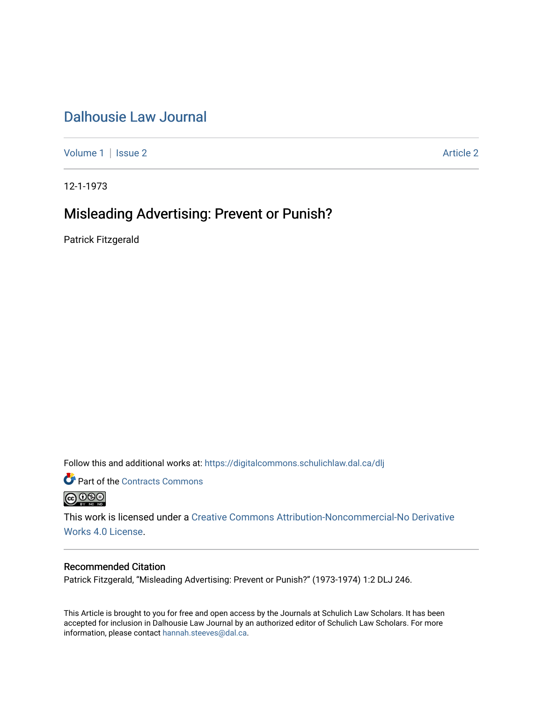## [Dalhousie Law Journal](https://digitalcommons.schulichlaw.dal.ca/dlj)

[Volume 1](https://digitalcommons.schulichlaw.dal.ca/dlj/vol1) | [Issue 2](https://digitalcommons.schulichlaw.dal.ca/dlj/vol1/iss2) [Article 2](https://digitalcommons.schulichlaw.dal.ca/dlj/vol1/iss2/2) Article 2 Article 2

12-1-1973

# Misleading Advertising: Prevent or Punish?

Patrick Fitzgerald

Follow this and additional works at: [https://digitalcommons.schulichlaw.dal.ca/dlj](https://digitalcommons.schulichlaw.dal.ca/dlj?utm_source=digitalcommons.schulichlaw.dal.ca%2Fdlj%2Fvol1%2Fiss2%2F2&utm_medium=PDF&utm_campaign=PDFCoverPages) 

Part of the [Contracts Commons](http://network.bepress.com/hgg/discipline/591?utm_source=digitalcommons.schulichlaw.dal.ca%2Fdlj%2Fvol1%2Fiss2%2F2&utm_medium=PDF&utm_campaign=PDFCoverPages)



This work is licensed under a [Creative Commons Attribution-Noncommercial-No Derivative](https://creativecommons.org/licenses/by-nc-nd/4.0/)  [Works 4.0 License](https://creativecommons.org/licenses/by-nc-nd/4.0/).

### Recommended Citation

Patrick Fitzgerald, "Misleading Advertising: Prevent or Punish?" (1973-1974) 1:2 DLJ 246.

This Article is brought to you for free and open access by the Journals at Schulich Law Scholars. It has been accepted for inclusion in Dalhousie Law Journal by an authorized editor of Schulich Law Scholars. For more information, please contact [hannah.steeves@dal.ca](mailto:hannah.steeves@dal.ca).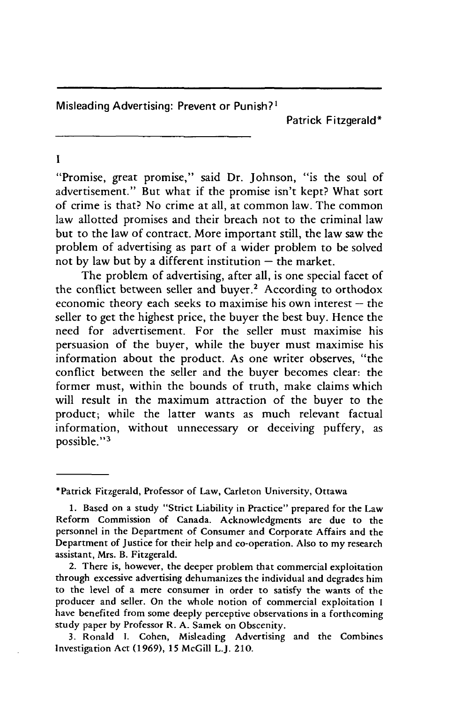Misleading Advertising: Prevent or Punish?<sup>1</sup>

Patrick Fitzgerald\*

 $\mathbf{I}$ 

"Promise, great promise," said Dr. Johnson, "is the soul of advertisement." But what if the promise isn't kept? What sort of crime is that? No crime at all, at common law. The common law allotted promises and their breach not to the criminal law but to the law of contract. More important still, the law saw the problem of advertising as part of a wider problem to be solved not by law but by a different institution  $-$  the market.

The problem of advertising, after all, is one special facet of the conflict between seller and buyer.<sup>2</sup> According to orthodox economic theory each seeks to maximise his own interest  $-$  the seller to get the highest price, the buyer the best buy. Hence the need for advertisement. For the seller must maximise his persuasion of the buyer, while the buyer must maximise his information about the product. As one writer observes, "the conflict between the seller and the buyer becomes clear: the former must, within the bounds of truth, make claims which will result in the maximum attraction of the buyer to the product; while the latter wants as much relevant factual information, without unnecessary or deceiving puffery, as possible."<sup>3</sup>

<sup>\*</sup>Patrick Fitzgerald, Professor of Law, Carleton University, Ottawa

<sup>1.</sup> Based on a study "Strict Liability in Practice" prepared for the Law Reform Commission of Canada. Acknowledgments are due to the personnel in the Department of Consumer and Corporate Affairs and the Department of Justice for their help and co-operation. Also to my research assistant, Mrs. B. Fitzgerald.

<sup>2.</sup> There is, however, the deeper problem that commercial exploitation through excessive advertising dehumanizes the individual and degrades him to the level of a mere consumer in order to satisfy the wants of the producer and seller. On the whole notion of commercial exploitation I have benefited from some deeply perceptive observations in a forthcoming study paper by Professor R. A. Samek on Obscenity.

<sup>3.</sup> Ronald I. Cohen, Misleading Advertising and the Combines Investigation Act (1969), 15 McGill L.J. 210.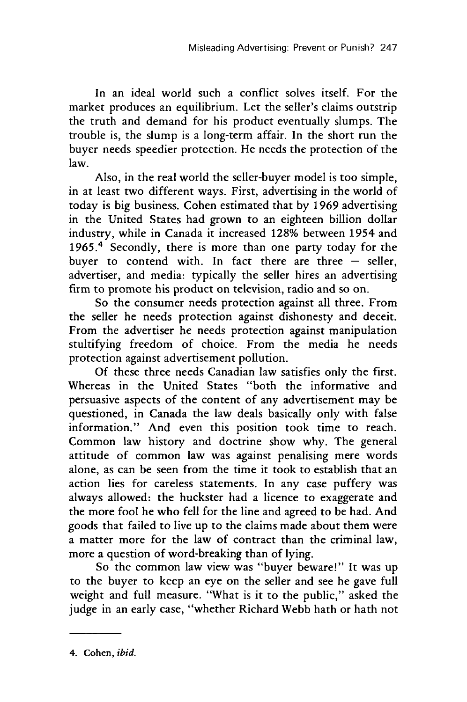In an ideal world such a conflict solves itself. For the market produces an equilibrium. Let the seller's claims outstrip the truth and demand for his product eventually slumps. The trouble is, the slump is a long-term affair. In the short run the buyer needs speedier protection. He needs the protection of the law.

Also, in the real world the seller-buyer model is too simple, in at least two different ways. First, advertising in the world of today is big business. Cohen estimated that by 1969 advertising in the United States had grown to an eighteen billion dollar industry, while in Canada it increased 128% between 1954 and 1965.<sup>4</sup> Secondly, there is more than one party today for the buyer to contend with. In fact there are three  $-$  seller, advertiser, and media: typically the seller hires an advertising firm to promote his product on television, radio and so on.

So the consumer needs protection against all three. From the seller he needs protection against dishonesty and deceit. From the advertiser he needs protection against manipulation stultifying freedom of choice. From the media he needs protection against advertisement pollution.

Of these three needs Canadian law satisfies only the first. Whereas in the United States "both the informative and persuasive aspects of the content of any advertisement may be questioned, in Canada the law deals basically only with false information." And even this position took time to reach. Common law history and doctrine show why. The general attitude of common law was against penalising mere words alone, as can be seen from the time it took to establish that an action lies for careless statements. In any case puffery was always allowed: the huckster had a licence to exaggerate and the more fool he who fell for the line and agreed to be had. And goods that failed to live up to the claims made about them were a matter more for the law of contract than the criminal law, more a question of word-breaking than of lying.

So the common law view was "buyer beware!" It was up to the buyer to keep an eye on the seller and see he gave full weight and full measure. "What is it to the public," asked the judge in an early case, "whether Richard Webb hath or hath not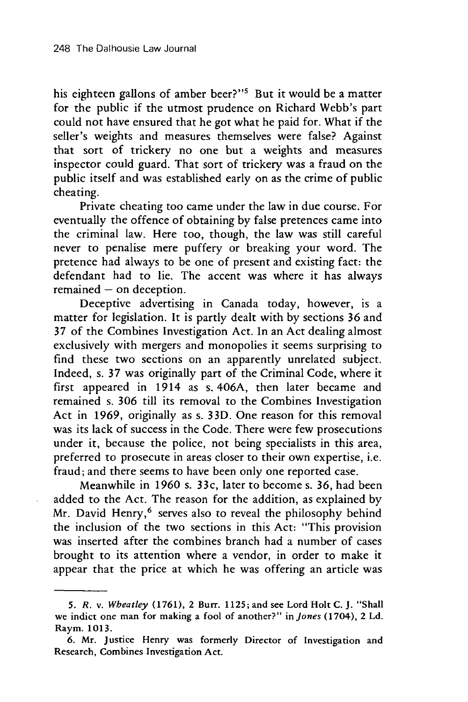his eighteen gallons of amber beer?"<sup>5</sup> But it would be a matter for the public if the utmost prudence on Richard Webb's part could not have ensured that he got what he paid for. What if the seller's weights and measures themselves were false? Against that sort of trickery no one but a weights and measures inspector could guard. That sort of trickery was a fraud on the public itself and was established early on as the crime of public cheating.

Private cheating too came under the law in due course. For eventually the offence of obtaining by false pretences came into the criminal law. Here too, though, the law was still careful never to penalise mere puffery or breaking your word. The pretence had always to be one of present and existing fact: the defendant had to lie. The accent was where it has always  $remained - on deception.$ 

Deceptive advertising in Canada today, however, is a matter for legislation. It is partly dealt with by sections 36 and 37 of the Combines Investigation Act. In an Act dealing almost exclusively with mergers and monopolies it seems surprising to find these two sections on an apparently unrelated subject. Indeed, s. 37 was originally part of the Criminal Code, where it first appeared in 1914 as s. 406A, then later became and remained s. 306 till its removal to the Combines Investigation Act in 1969, originally as s. 33D. One reason for this removal was its lack of success in the Code. There were few prosecutions under it, because the police, not being specialists in this area, preferred to prosecute in areas closer to their own expertise, i.e. fraud; and there seems to have been only one reported case.

Meanwhile in 1960 s. 33c, later to become s. 36, had been added to the Act. The reason for the addition, as explained by Mr. David Henry,<sup>6</sup> serves also to reveal the philosophy behind the inclusion of the two sections in this Act: "This provision was inserted after the combines branch had a number of cases brought to its attention where a vendor, in order to make it appear that the price at which he was offering an article was

*<sup>5.</sup> R. v. Wbeatley* **(1761),** 2 Burr. **1125;** and see Lord Holt **C.** J. "Shall we indict one man for making a fool of another?" *in Jones* (1704), 2 **Ld.** Raym. **1013.**

**<sup>6.</sup>** Mr. Justice Henry was formerly Director of Investigation and Research, Combines Investigation Act.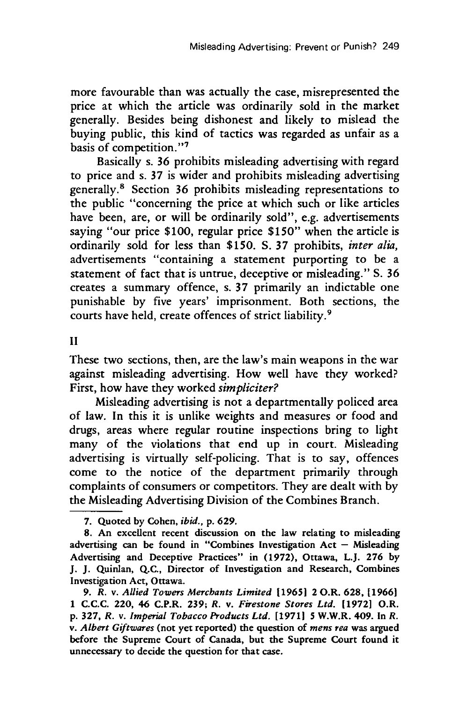more favourable than was actually the case, misrepresented the price at which the article was ordinarily sold in the market generally. Besides being dishonest and likely to mislead the buying public, this kind of tactics was regarded as unfair as a basis of competition."<sup>7</sup>

Basically s. **36** prohibits misleading advertising with regard to price and s. **37** is wider and prohibits misleading advertising generally.' Section **36** prohibits misleading representations to the public "concerning the price at which such or like articles have been, are, or will be ordinarily sold", e.g. advertisements saying "our price **\$100,** regular price **\$150"** when the article is ordinarily sold for less than **\$150. S. 37** prohibits, *inter alia,* advertisements "containing a statement purporting to be a statement of fact that is untrue, deceptive or misleading." **S. 36** creates a summary offence, s. **37** primarily an indictable one punishable **by** five years' imprisonment. Both sections, the courts have held, create offences of strict liability.<sup>9</sup>

**II**

These two sections, then, are the law's main weapons in the war against misleading advertising. How well have they worked? First, how have they worked *simpliciter?*

Misleading advertising is not a departmentally policed area of law. In this it is unlike weights and measures or food and drugs, areas where regular routine inspections bring to light many of the violations that end up in court. Misleading advertising is virtually self-policing. That is to say, offences come to the notice of the department primarily through complaints of consumers or competitors. They are dealt with **by** the Misleading Advertising Division of the Combines Branch.

**7. Quoted by Cohen,** *ibid.,* **p. 629.**

**8. An excellent** recent discussion **on the law relating to misleading advertising can be found in "Combines Investigation Act - Misleading Advertising and Deceptive Practices" in (1972), Ottawa, L.J. 276 by J. J.** Quinlan, **Q.C., Director of Investigation and Research, Combines Investigation Act, Ottawa.**

**9.** *R. v. Allied Towers Merchants Limited* **119651 2 O.R. 628, 11966] 1 C.C.C. 220, 46 C.P.R. 239;** *R.* **v.** *Firestone Stores Ltd.* **[1972] O.R. p. 327,** *R. v. Imperial Tobacco Products Ltd.* **[19711 5** W.W.R. 409. **In** *R. v. Albert Giftwares* (not yet reported) the question of *mens rea* **was argued** before **the Supreme Court of Canada, but** the Supreme Court found it unnecessary to decide the question for that case.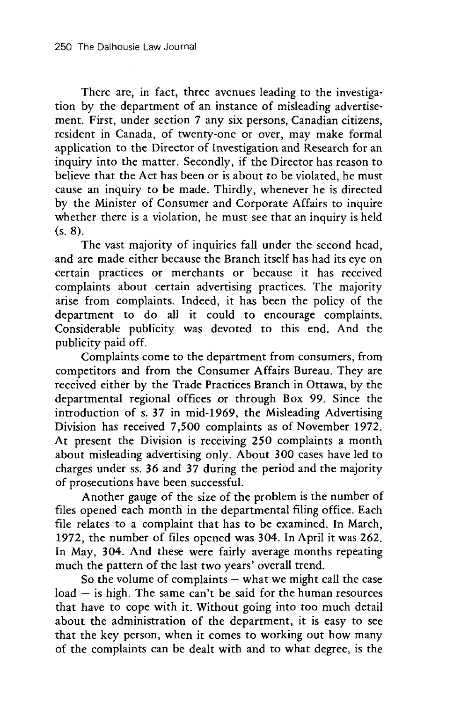There are, in fact, three avenues leading to the investigation by the department of an instance of misleading advertisement. First, under section 7 any six persons, Canadian citizens, resident in Canada, of twenty-one or over, may make formal application to the Director of Investigation and Research for an inquiry into the matter. Secondly, if the Director has reason to believe that the Act has been or is about to be violated, he must cause an inquiry to be made. Thirdly, whenever he is directed by the Minister of Consumer and Corporate Affairs to inquire whether there is a violation, he must see that an inquiry is held (s. **8).**

The vast majority of inquiries fall under the second head, and are made either because the Branch itself has had its eye on certain practices or merchants or because it has received complaints about certain advertising practices. The majority arise from complaints. Indeed, it has been the policy of the department to do all it could to encourage complaints. Considerable publicity was devoted to this end. And the publicity paid off.

Complaints come to the department from consumers, from competitors and from the Consumer Affairs Bureau. They are received either by the Trade Practices Branch in Ottawa, by the departmental regional offices or through Box 99. Since the introduction of s. 37 in mid-1969, the Misleading Advertising Division has received 7,500 complaints as of November 1972. At present the Division is receiving **250** complaints a month about misleading advertising only. About 300 cases have led to charges under ss. 36 and 37 during the period and the majority of prosecutions have been successful.

Another gauge of the size of the problem is the number of files opened each month in the departmental filing office. Each file relates to a complaint that has to be examined. In March, 1972, the number of files opened was 304. In April it was 262. In May, 304. And these were fairly average months repeating much the pattern of the last two years' overall trend.

So the volume of complaints  $-$  what we might call the case  $load - is high$ . The same can't be said for the human resources that have to cope with it. Without going into too much detail about the administration of the department, it is easy to see that the key person, when it comes to working out how many of the complaints can be dealt with and to what degree, is the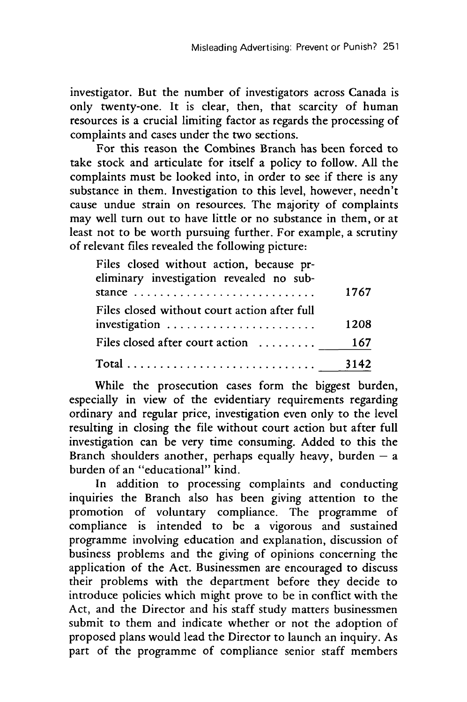investigator. But the number of investigators across Canada is only twenty-one. It is clear, then, that scarcity of human resources is a crucial limiting factor as regards the processing of complaints and cases under the two sections.

For this reason the Combines Branch has been forced to take stock and articulate for itself a policy to follow. All the complaints must be looked into, in order to see if there is any substance in them. Investigation to this level, however, needn't cause undue strain on resources. The majority of complaints may well turn out to have little or no substance in them, or at least not to be worth pursuing further. For example, a scrutiny of relevant files revealed the following picture:

| Files closed without action, because pr-<br>eliminary investigation revealed no sub- |      |
|--------------------------------------------------------------------------------------|------|
| stance $\ldots \ldots \ldots \ldots \ldots \ldots \ldots \ldots \ldots$              | 1767 |
| Files closed without court action after full<br>investigation                        | 1208 |
| Files closed after court action                                                      | 167  |
|                                                                                      |      |

While the prosecution cases form the biggest burden, especially in view of the evidentiary requirements regarding ordinary and regular price, investigation even only to the level resulting in closing the file without court action but after full investigation can be very time consuming. Added to this the Branch shoulders another, perhaps equally heavy, burden  $-$  a burden of an "educational" kind.

In addition to processing complaints and conducting inquiries the Branch also has been giving attention to the promotion of voluntary compliance. The programme of compliance is intended to be a vigorous and sustained programme involving education and explanation, discussion of business problems and the giving of opinions concerning the application of the Act. Businessmen are encouraged to discuss their problems with the department before they decide to introduce policies which might prove to be in conflict with the Act, and the Director and his staff study matters businessmen submit to them and indicate whether or not the adoption of proposed plans would lead the Director to launch an inquiry. As part of the programme of compliance senior staff members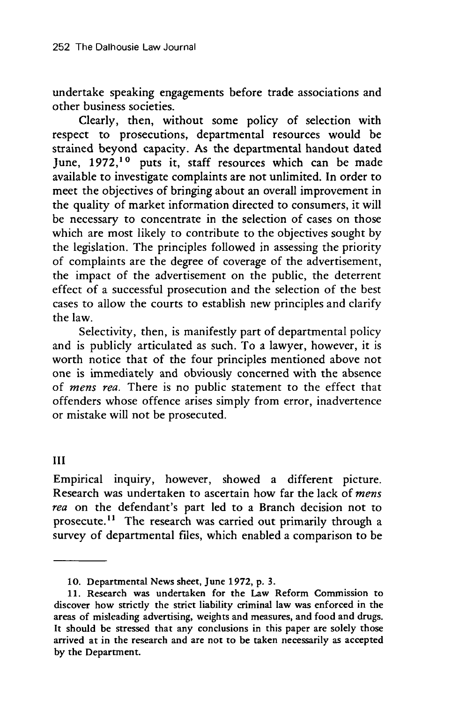undertake speaking engagements before trade associations and other business societies.

Clearly, then, without some policy of selection with respect to prosecutions, departmental resources would be strained beyond capacity. As the departmental handout dated June, **1972,10** puts it, staff resources which can be made available to investigate complaints are not unlimited. In order to meet the objectives of bringing about an overall improvement in the quality of market information directed to consumers, it will be necessary to concentrate in the selection of cases on those which are most likely to contribute to the objectives sought by the legislation. The principles followed in assessing the priority of complaints are the degree of coverage of the advertisement, the impact of the advertisement on the public, the deterrent effect of a successful prosecution and the selection of the best cases to allow the courts to establish new principles and clarify the law.

Selectivity, then, is manifestly part of departmental policy and is publicly articulated as such. To a lawyer, however, it is worth notice that of the four principles mentioned above not one is immediately and obviously concerned with the absence of *mens rea.* There is no public statement to the effect that offenders whose offence arises simply from error, inadvertence or mistake will not be prosecuted.

III

Empirical inquiry, however, showed a different picture. Research was undertaken to ascertain how far the lack of *mens rea* on the defendant's part led to a Branch decision not to prosecute.<sup>11</sup> The research was carried out primarily through a survey of departmental files, which enabled a comparison to be

<sup>10.</sup> Departmental News sheet, June 1972, p. 3.

<sup>11.</sup> Research was undertaken for the Law Reform Commission to discover how strictly the strict liability criminal law was enforced in the areas of misleading advertising, weights and measures, and food and drugs. It should be stressed that any conclusions in this paper are solely those arrived at in the research and are not to be taken necessarily as accepted by the Department.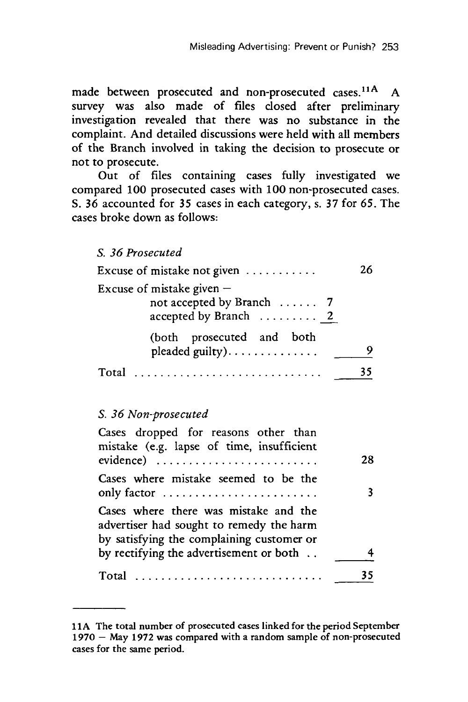made between prosecuted and non-prosecuted cases.<sup>11A</sup> A survey was also made of files dosed after preliminary investigation revealed that there was no substance in the complaint. And detailed discussions were held with all members of the Branch involved in taking the decision to prosecute or not to prosecute.

Out of files containing cases fully investigated we compared 100 prosecuted cases with **100** non-prosecuted cases. S. **36** accounted for 35 cases in each category, s. 37 for **65.** The cases broke down as follows:

*S. 36 Prosecuted*

| Excuse of mistake not given $\dots \dots \dots$                                   | 26. |
|-----------------------------------------------------------------------------------|-----|
| Excuse of mistake given $-$<br>not accepted by Branch  7<br>accepted by Branch  2 |     |
| (both prosecuted and both<br>pleaded guilty)                                      |     |
| Tota                                                                              |     |

#### *S. 36 Non-prosecuted*

| Cases dropped for reasons other than<br>mistake (e.g. lapse of time, insufficient<br>$evidence)$                               | 28 |
|--------------------------------------------------------------------------------------------------------------------------------|----|
| Cases where mistake seemed to be the<br>only factor                                                                            |    |
| Cases where there was mistake and the<br>advertiser had sought to remedy the harm<br>by satisfying the complaining customer or |    |
| by rectifying the advertisement or both                                                                                        |    |
| Total                                                                                                                          |    |

**<sup>1 1</sup>A** The total number of prosecuted cases linked for the period September 1970 - May 1972 was compared with a random sample of non-prosecuted cases for the same period.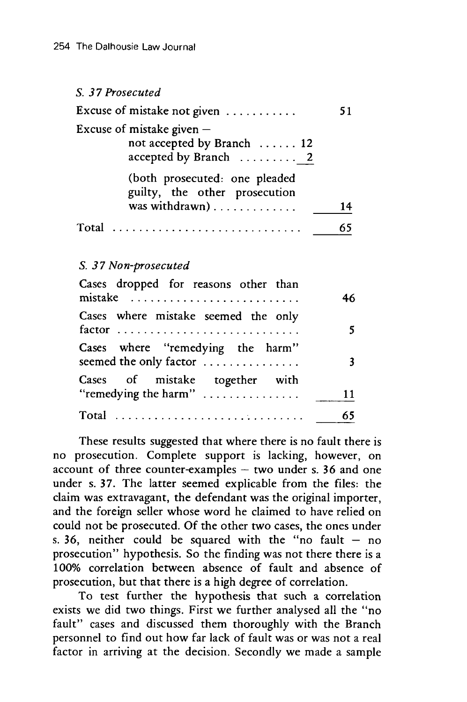### *S. 37 Prosecuted* Excuse of mistake not given ........... 51 Excuse of mistake given  $$ not accepted by Branch ...... 12 accepted by Branch ........... 2 (both prosecuted: one pleaded guilty, the other prosecution was withdrawn) . . . . . . . . . . . . . . 14 Total  $\ldots \ldots \ldots \ldots \ldots \ldots \ldots \ldots$ . 65

#### *S. 3 7 Non-prosecuted*

| Cases dropped for reasons other than<br>mistake                               | 46 |
|-------------------------------------------------------------------------------|----|
| Cases where mistake seemed the only                                           |    |
| Cases where "remedying the harm"<br>seemed the only factor                    |    |
| Cases of mistake together with<br>"remedying the harm" $\dots\dots\dots\dots$ | 11 |
|                                                                               | 65 |

These results suggested that where there is no fault there is no prosecution. Complete support is lacking, however, on account of three counter-examples  $-$  two under s. 36 and one under s. 37. The latter seemed explicable from the files: the claim was extravagant, the defendant was the original importer, and the foreign seller whose word he claimed to have relied on could not be prosecuted. Of the other two cases, the ones under s. 36, neither could be squared with the "no fault  $-$  no prosecution" hypothesis. So the finding was not there there is a 100% correlation between absence of fault and absence of prosecution, but that there is a high degree of correlation.

To test further the hypothesis that such a correlation exists we did two things. First we further analysed all the "no fault" cases and discussed them thoroughly with the Branch personnel to find out how far lack of fault was or was not a real factor in arriving at the decision. Secondly we made a sample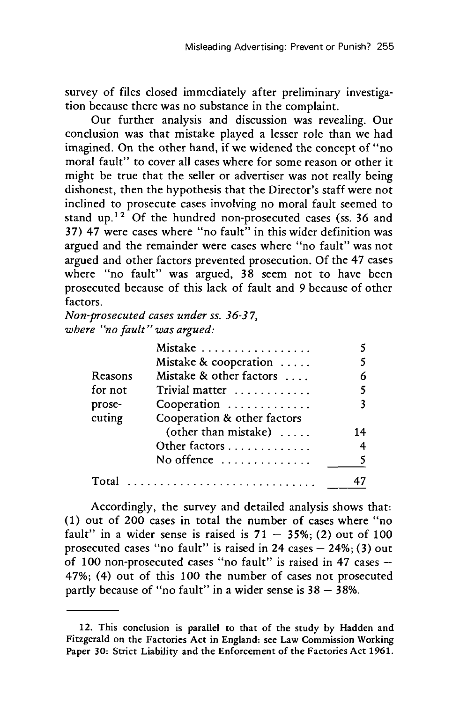survey of files closed immediately after preliminary investigation because there was no substance in the complaint.

Our further analysis and discussion was revealing. Our conclusion was that mistake played a lesser role than we had imagined. On the other hand, if we widened the concept of "no moral fault" to cover all cases where for some reason or other it might be true that the seller or advertiser was not really being dishonest, then the hypothesis that the Director's staff were not inclined to prosecute cases involving no moral fault seemed to stand up.<sup>12</sup> Of the hundred non-prosecuted cases (ss. 36 and 37) 47 were cases where "no fault" in this wider definition was argued and the remainder were cases where "no fault" was not argued and other factors prevented prosecution. Of the 47 cases where "no fault" was argued, 38 seem not to have been prosecuted because of this lack of fault and 9 because of other factors.

*Non-prosecuted cases under ss. 36-3 7, wbere "no fault" was argued:*

|         | Mistake                     |    |
|---------|-----------------------------|----|
|         | Mistake & cooperation       |    |
| Reasons | Mistake & other factors     | 6  |
| for not | Trivial matter              | 5  |
| prose-  | Cooperation                 | 3  |
| cuting  | Cooperation & other factors |    |
|         | (other than mistake)        | 14 |
|         | Other factors               | 4  |
|         | No offence                  | 5. |
| Total   |                             |    |

Accordingly, the survey and detailed analysis shows that: (1) out of 200 cases in total the number of cases where "no fault" in a wider sense is raised is  $71 - 35\%$ ; (2) out of 100 prosecuted cases "no fault" is raised in  $24$  cases  $-24\%$ ; (3) out of 100 non-prosecuted cases "no fault" is raised in 47 cases  $-$ 47%; (4) out of this 100 the number of cases not prosecuted partly because of "no fault" in a wider sense is  $38 - 38\%$ .

<sup>12.</sup> This conclusion is parallel to that of the study by Hadden and Fitzgerald on the Factories Act in England: see Law Commission Working Paper 30: Strict Liability and the Enforcement of the Factories Act 1961.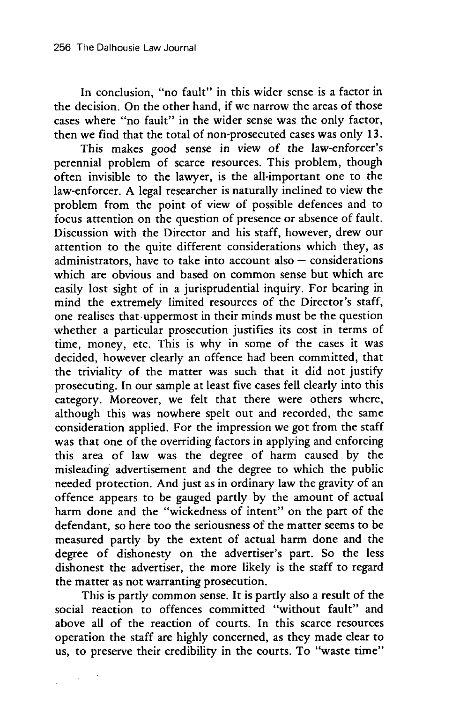In conclusion, "no fault" in this wider sense is a factor in the decision. On the other hand, if we narrow the areas of those cases where "no fault" in the wider sense was the only factor, then we find that the total of non-prosecuted cases was only 13.

This makes good sense in view of the law-enforcer's perennial problem of scarce resources. This problem, though often invisible to the lawyer, is the all-important one to the law-enforcer. A legal researcher is naturally inclined to view the problem from the point of view of possible defences and to focus attention on the question of presence or absence of fault. Discussion with the Director and his staff, however, drew our attention to the quite different considerations which they, as administrators, have to take into account also  $-$  considerations which are obvious and based on common sense but which are easily lost sight of in a jurisprudential inquiry. For bearing in mind the extremely limited resources of the Director's staff, one realises that uppermost in their minds must be the question whether a particular prosecution justifies its cost in terms of time, money, etc. This is why in some of the cases it was decided, however clearly an offence had been committed, that the triviality of the matter was such that it did not justify prosecuting. In our sample at least five cases fell clearly into this category. Moreover, we felt that there were others where, although this was nowhere spelt out and recorded, the same consideration applied. For the impression we got from the staff was that one of the overriding factors in applying and enforcing this area of law was the degree of harm caused by the misleading advertisement and the degree to which the public needed protection. And just as in ordinary law the gravity of an offence appears to be gauged partly by the amount of actual harm done and the "wickedness of intent" on the part of the defendant, so here too the seriousness of the matter seems to be measured partly by the extent of actual harm done and the degree of dishonesty on the advertiser's part. So the less dishonest the advertiser, the more likely is the staff to regard the matter as not warranting prosecution.

This is partly common sense. It is partly also a result of the social reaction to offences committed "without fault" and above all of the reaction of courts. In this scarce resources operation the staff are highly concerned, as they made clear to us, to preserve their credibility in the courts. To "waste time"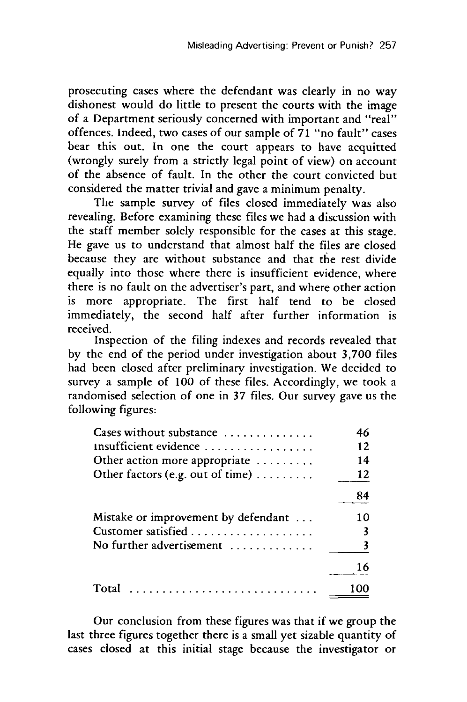prosecuting cases where the defendant was clearly in no way dishonest would do little to present the courts with the image of a Department seriously concerned with important and "real" offences. Indeed, two cases of our sample of 71 "no fault" cases bear this out. In one the court appears to have acquitted (wrongly surely from a strictly legal point of view) on account of the absence of fault. In the other the court convicted but considered the matter trivial and gave a minimum penalty.

The sample survey of files closed immediately was also revealing. Before examining these files we had a discussion with the staff member solely responsible for the cases at this stage. He gave us to understand that almost half the files are closed because they are without substance and that the rest divide equally into those where there is insufficient evidence, where there is no fault on the advertiser's part, and where other action is more appropriate. The first half tend to be closed immediately, the second half after further information is received.

Inspection of the filing indexes and records revealed that by the end of the period under investigation about 3,700 files had been closed after preliminary investigation. We decided to survey a sample of  $100$  of these files. Accordingly, we took a randomised selection of one in 37 files. Our survey gave us the following figures:

| Cases without substance             | 46 |
|-------------------------------------|----|
| Insufficient evidence               | 12 |
| Other action more appropriate       | 14 |
| Other factors (e.g. out of time)    | 12 |
|                                     | 84 |
| Mistake or improvement by defendant | 10 |
|                                     |    |
| No further advertisement            |    |
|                                     | 16 |
| Total                               |    |

Our conclusion from these figures was that if we group the last three figures together there is a small yet sizable quantity of cases closed at this initial stage because the investigator or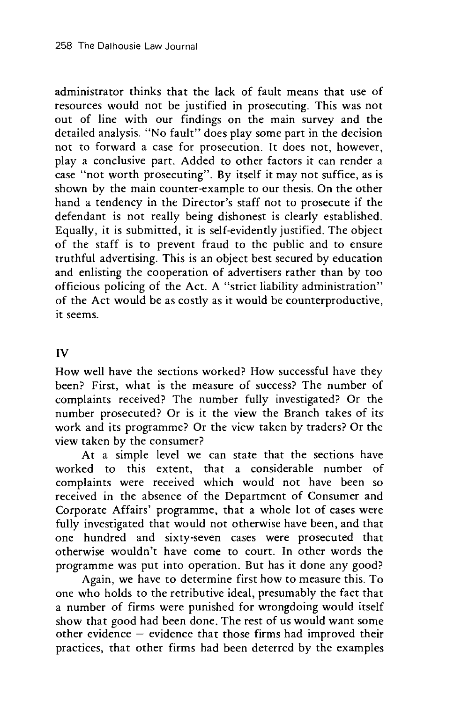administrator thinks that the lack of fault means that use of resources would not be justified in prosecuting. This was not out of line with our findings on the main survey and the detailed analysis. "No fault" does play some part in the decision not to forward a case for prosecution. It does not, however, play a conclusive part. Added to other factors it can render a case "not worth prosecuting". By itself it may not suffice, as is shown by the main counter-example to our thesis. On the other hand a tendency in the Director's staff not to prosecute if the defendant is not really being dishonest is clearly established. Equally, it is submitted, it is self-evidently justified. The object of the staff is to prevent fraud to the public and to ensure truthful advertising. This is an object best secured by education and enlisting the cooperation of advertisers rather than by too officious policing of the Act. A "strict liability administration" of the Act would be as costly as it would be counterproductive, it seems.

#### IV

How well have the sections worked? How successful have they been? First, what is the measure of success? The number of complaints received? The number fully investigated? Or the number prosecuted? Or is it the view the Branch takes of its work and its programme? Or the view taken by traders? Or the view taken by the consumer?

At a simple level we can state that the sections have worked to this extent, that a considerable number of complaints were received which would not have been so received in the absence of the Department of Consumer and Corporate Affairs' programme, that a whole lot of cases were fully investigated that would not otherwise have been, and that one hundred and sixty-seven cases were prosecuted that otherwise wouldn't have come to court. In other words the programme was put into operation. But has it done any good?

Again, we have to determine first how to measure this. To one who holds to the retributive ideal, presumably the fact that a number of firms were punished for wrongdoing would itself show that good had been done. The rest of us would want some other evidence - evidence that those firms had improved their practices, that other firms had been deterred by the examples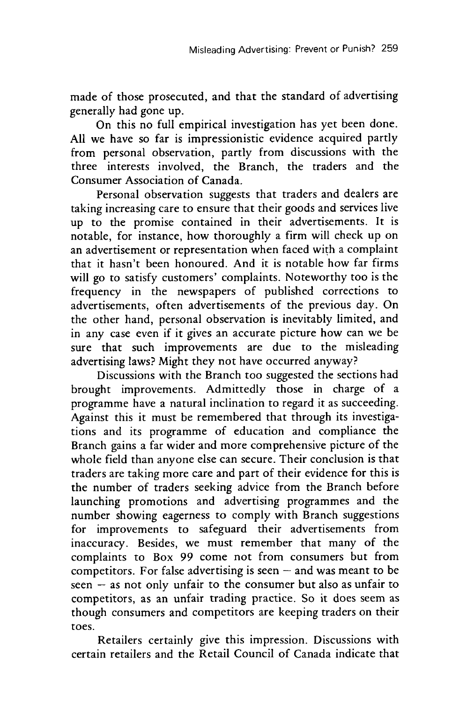made of those prosecuted, and that the standard of advertising generally had gone up.

On this no full empirical investigation has yet been done. All we have so far is impressionistic evidence acquired partly from personal observation, partly from discussions with the three interests involved, the Branch, the traders and the Consumer Association of Canada.

Personal observation suggests that traders and dealers are taking increasing care to ensure that their goods and services live up to the promise contained in their advertisements. It is notable, for instance, how thoroughly a firm will check up on an advertisement or representation when faced with a complaint that it hasn't been honoured. And it is notable how far firms will go to satisfy customers' complaints. Noteworthy too is the frequency in the newspapers of published corrections to advertisements, often advertisements of the previous day. On the other hand, personal observation is inevitably limited, and in any case even if it gives an accurate picture how can we be sure that such improvements are due to the misleading advertising laws? Might they not have occurred anyway?

Discussions with the Branch too suggested the sections had brought improvements. Admittedly those in charge of a programme have a natural inclination to regard it as succeeding. Against this it must be remembered that through its investigations and its programme of education and compliance the Branch gains a far wider and more comprehensive picture of the whole field than anyone else can secure. Their conclusion is that traders are taking more care and part of their evidence for this is the number of traders seeking advice from the Branch before launching promotions and advertising programmes and the number showing eagerness to comply with Branch suggestions for improvements to safeguard their advertisements from inaccuracy. Besides, we must remember that many of the complaints to Box 99 come not from consumers but from competitors. For false advertising is seen  $-$  and was meant to be seen - as not only unfair to the consumer but also as unfair to competitors, as an unfair trading practice. So it does seem as though consumers and competitors are keeping traders on their toes.

Retailers certainly give this impression. Discussions with certain retailers and the Retail Council of Canada indicate that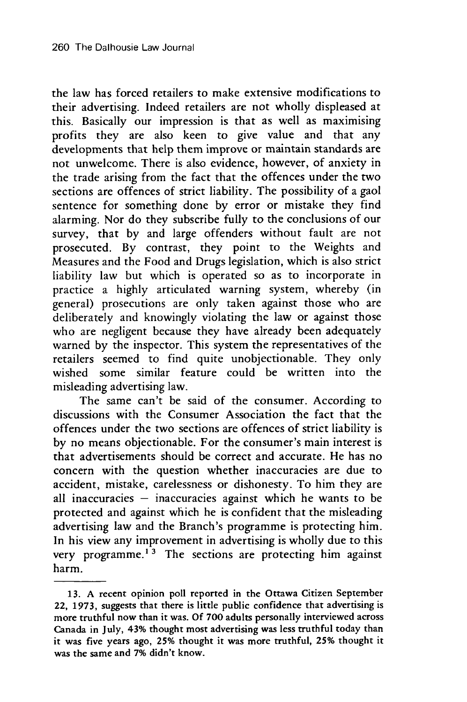the law has forced retailers to make extensive modifications to their advertising. Indeed retailers are not wholly displeased at this. Basically our impression is that as well as maximising profits they are also keen to give value and that any developments that help them improve or maintain standards are not unwelcome. There is also evidence, however, of anxiety in the trade arising from the fact that the offences under the two sections are offences of strict liability. The possibility of a gaol sentence for something done by error or mistake they find alarming. Nor do they subscribe fully to the conclusions of our survey, that by and large offenders without fault are not prosecuted. By contrast, they point to the Weights and Measures and the Food and Drugs legislation, which is also strict liability law but which is operated so as to incorporate in practice a highly articulated warning system, whereby (in general) prosecutions are only taken against those who are deliberately and knowingly violating the law or against those who are negligent because they have already been adequately warned by the inspector. This system the representatives of the retailers seemed to find quite unobjectionable. They only wished some similar feature could be written into the misleading advertising law.

The same can't be said of the consumer. According to discussions with the Consumer Association the fact that the offences under the two sections are offences of strict liability is by no means objectionable. For the consumer's main interest is that advertisements should be correct and accurate. He has no concern with the question whether inaccuracies are due to accident, mistake, carelessness or dishonesty. To him they are all inaccuracies  $-$  inaccuracies against which he wants to be protected and against which he is confident that the misleading advertising law and the Branch's programme is protecting him. In his view any improvement in advertising is wholly due to this very programme.<sup>13</sup> The sections are protecting him against harm.

**<sup>13.</sup> A** recent opinion poll reported in **the** Ottawa Citizen September *22,* **1973,** suggests that **there** is little public confidence that advertising is more truthful now than it was. **Of 700** adults personally interviewed across Canada in July, 43% thought most advertising was less truthful today than it was five years ago, **25%** thought it was more truthful, **25%** thought it was **the** same and **7%** didn't know.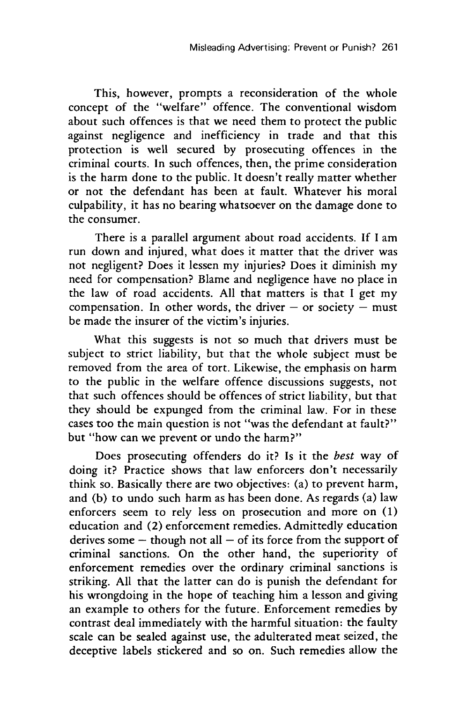This, however, prompts a reconsideration of the whole concept of the "welfare" offence. The conventional wisdom about such offences is that we need them to protect the public against negligence and inefficiency in trade and that this protection is well secured by prosecuting offences in the criminal courts. In such offences, then, the prime consideration is the harm done to the public. It doesn't really matter whether or not the defendant has been at fault. Whatever his moral culpability, it has no bearing whatsoever on the damage done to the consumer.

There is a parallel argument about road accidents. If I am run down and injured, what does it matter that the driver was not negligent? Does it lessen my injuries? Does it diminish my need for compensation? Blame and negligence have no place in the law of road accidents. All that matters is that I get my compensation. In other words, the driver  $-$  or society  $-$  must be made the insurer of the victim's injuries.

What this suggests is not so much that drivers must be subject to strict liability, but that the whole subject must be removed from the area of tort. Likewise, the emphasis on harm to the public in the welfare offence discussions suggests, not that such offences should be offences of strict liability, but that they should be expunged from the criminal law. For in these cases too the main question is not "was the defendant at fault?" but "how can we prevent or undo the harm?"

Does prosecuting offenders do it? Is it the best way of doing it? Practice shows that law enforcers don't necessarily think so. Basically there are two objectives: (a) to prevent harm, and (b) to undo such harm as has been done. As regards (a) law enforcers seem to rely less on prosecution and more on (1) education and (2) enforcement remedies. Admittedly education derives some  $-$  though not all  $-$  of its force from the support of criminal sanctions. On the other hand, the superiority of enforcement remedies over the ordinary criminal sanctions is striking. All that the latter can do is punish the defendant for his wrongdoing in the hope of teaching him a lesson and giving an example to others for the future. Enforcement remedies by contrast deal immediately with the harmful situation: the faulty scale can be sealed against use, the adulterated meat seized, the deceptive labels stickered and so on. Such remedies allow the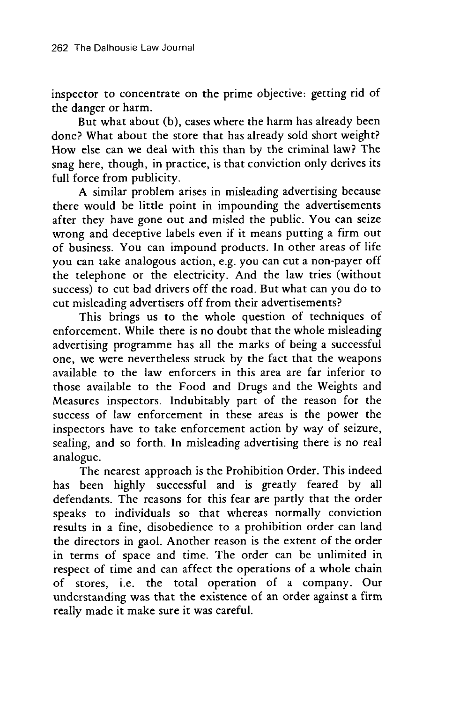inspector to concentrate on the prime objective: getting rid of the danger or harm.

But what about (b), cases where the harm has already been done? What about the store that has already sold short weight? How else can we deal with this than by the criminal law? The snag here, though, in practice, is that conviction only derives its full force from publicity.

A similar problem arises in misleading advertising because there would be little point in impounding the advertisements after they have gone out and misled the public. You can seize wrong and deceptive labels even if it means putting a firm out of business. You can impound products. In other areas of life you can take analogous action, e.g. you can cut a non-payer off the telephone or the electricity. And the law tries (without success) to cut bad drivers off the road. But what can you do to cut misleading advertisers off from their advertisements?

This brings us to the whole question of techniques of enforcement. While there is no doubt that the whole misleading advertising programme has all the marks of being a successful one, we were nevertheless struck by the fact that the weapons available to the law enforcers in this area are far inferior to those available to the Food and Drugs and the Weights and Measures inspectors. Indubitably part of the reason for the success of law enforcement in these areas is the power the inspectors have to take enforcement action by way of seizure, sealing, and so forth. In misleading advertising there is no real analogue.

The nearest approach is the Prohibition Order. This indeed has been highly successful and is greatly feared by all defendants. The reasons for this fear are partly that the order speaks to individuals so that whereas normally conviction results in a fine, disobedience to a prohibition order can land the directors in gaol. Another reason is the extent of the order in terms of space and time. The order can be unlimited in respect of time and can affect the operations of a whole chain of stores, i.e. the total operation of a company. Our understanding was that the existence of an order against a firm really made it make sure it was careful.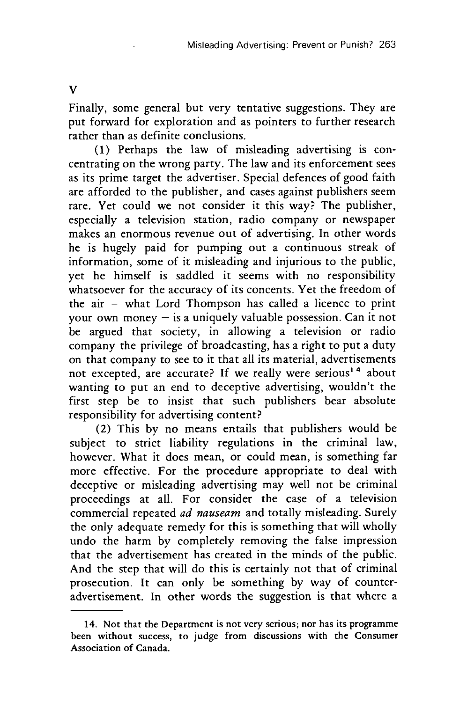Finally, some general but very tentative suggestions. They are put forward for exploration and as pointers to further research rather than as definite conclusions.

(1) Perhaps the law of misleading advertising is concentrating on the wrong party. The law and its enforcement sees as its prime target the advertiser. Special defences of good faith are afforded to the publisher, and cases against publishers seem rare. Yet could we not consider it this way? The publisher, especially a television station, radio company or newspaper makes an enormous revenue out of advertising. In other words he is hugely paid for pumping out a continuous streak of information, some of it misleading and injurious to the public, yet he himself is saddled it seems with no responsibility whatsoever for the accuracy of its concents. Yet the freedom of the  $air - what Lord Thompson has called a licence to print$ your own money  $-$  is a uniquely valuable possession. Can it not be argued that society, in allowing a television or radio company the privilege of broadcasting, has a right to put a duty on that company to see to it that all its material, advertisements not excepted, are accurate? If we really were serious<sup>14</sup> about wanting to put an end to deceptive advertising, wouldn't the first step be to insist that such publishers bear absolute responsibility for advertising content?

(2) This by no means entails that publishers would be subject to strict liability regulations in the criminal law, however. What it does mean, or could mean, is something far more effective. For the procedure appropriate to deal with deceptive or misleading advertising may well not be criminal proceedings at all. For consider the case of a television commercial repeated *ad nauseam* and totally misleading. Surely the only adequate remedy for this is something that will wholly undo the harm by completely removing the false impression that the advertisement has created in the minds of the public. And the step that will do this is certainly not that of criminal prosecution. It can only be something by way of counteradvertisement. In other words the suggestion is that where a

**V**

**<sup>14.</sup>** Not that the Department is not very serious; nor has its programme been without success, to judge from discussions with the Consumer Association of Canada.